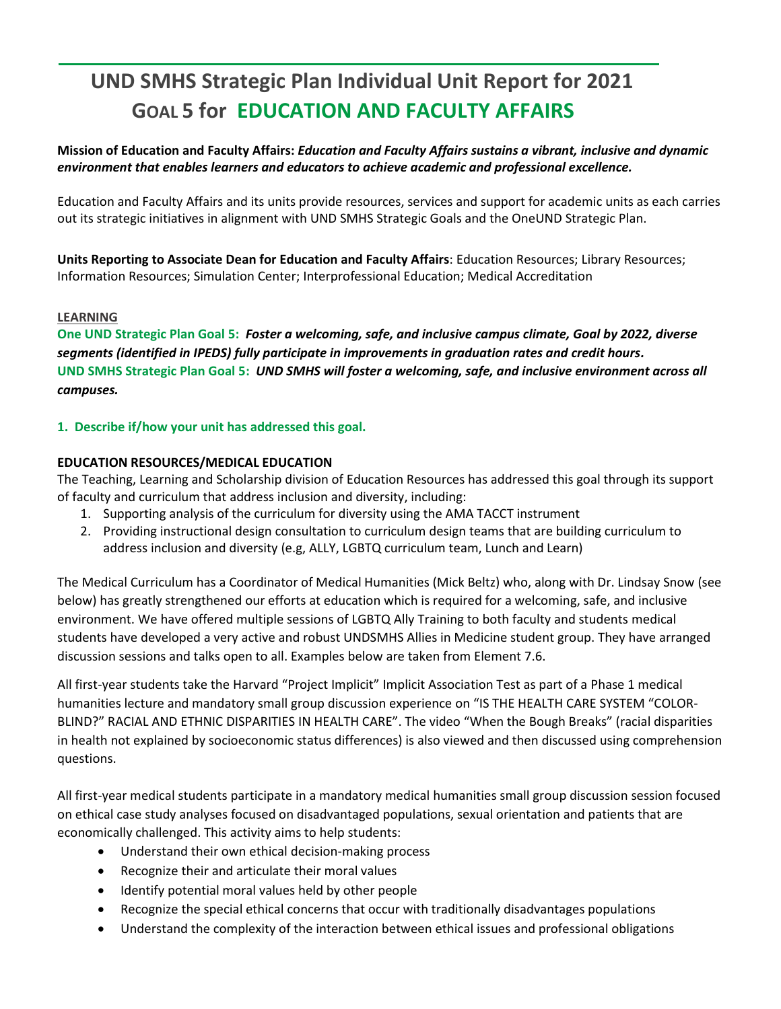# **UND SMHS Strategic Plan Individual Unit Report for 2021 GOAL 5 for EDUCATION AND FACULTY AFFAIRS**

**Mission of Education and Faculty Affairs:** *Education and Faculty Affairs sustains a vibrant, inclusive and dynamic environment that enables learners and educators to achieve academic and professional excellence.* 

Education and Faculty Affairs and its units provide resources, services and support for academic units as each carries out its strategic initiatives in alignment with UND SMHS Strategic Goals and the OneUND Strategic Plan.

**Units Reporting to Associate Dean for Education and Faculty Affairs**: Education Resources; Library Resources; Information Resources; Simulation Center; Interprofessional Education; Medical Accreditation

## **LEARNING**

**One UND Strategic Plan Goal 5:** *Foster a welcoming, safe, and inclusive campus climate, Goal by 2022, diverse segments (identified in IPEDS) fully participate in improvements in graduation rates and credit hours.* **UND SMHS Strategic Plan Goal 5:** *UND SMHS will foster a welcoming, safe, and inclusive environment across all campuses.*

**1. Describe if/how your unit has addressed this goal.** 

# **EDUCATION RESOURCES/MEDICAL EDUCATION**

The Teaching, Learning and Scholarship division of Education Resources has addressed this goal through its support of faculty and curriculum that address inclusion and diversity, including:

- 1. Supporting analysis of the curriculum for diversity using the AMA TACCT instrument
- 2. Providing instructional design consultation to curriculum design teams that are building curriculum to address inclusion and diversity (e.g, ALLY, LGBTQ curriculum team, Lunch and Learn)

The Medical Curriculum has a Coordinator of Medical Humanities (Mick Beltz) who, along with Dr. Lindsay Snow (see below) has greatly strengthened our efforts at education which is required for a welcoming, safe, and inclusive environment. We have offered multiple sessions of LGBTQ Ally Training to both faculty and students medical students have developed a very active and robust UNDSMHS Allies in Medicine student group. They have arranged discussion sessions and talks open to all. Examples below are taken from Element 7.6.

All first-year students take the Harvard "Project Implicit" Implicit Association Test as part of a Phase 1 medical humanities lecture and mandatory small group discussion experience on "IS THE HEALTH CARE SYSTEM "COLOR-BLIND?" RACIAL AND ETHNIC DISPARITIES IN HEALTH CARE". The video "When the Bough Breaks" (racial disparities in health not explained by socioeconomic status differences) is also viewed and then discussed using comprehension questions.

All first-year medical students participate in a mandatory medical humanities small group discussion session focused on ethical case study analyses focused on disadvantaged populations, sexual orientation and patients that are economically challenged. This activity aims to help students:

- Understand their own ethical decision-making process
- Recognize their and articulate their moral values
- Identify potential moral values held by other people
- Recognize the special ethical concerns that occur with traditionally disadvantages populations
- Understand the complexity of the interaction between ethical issues and professional obligations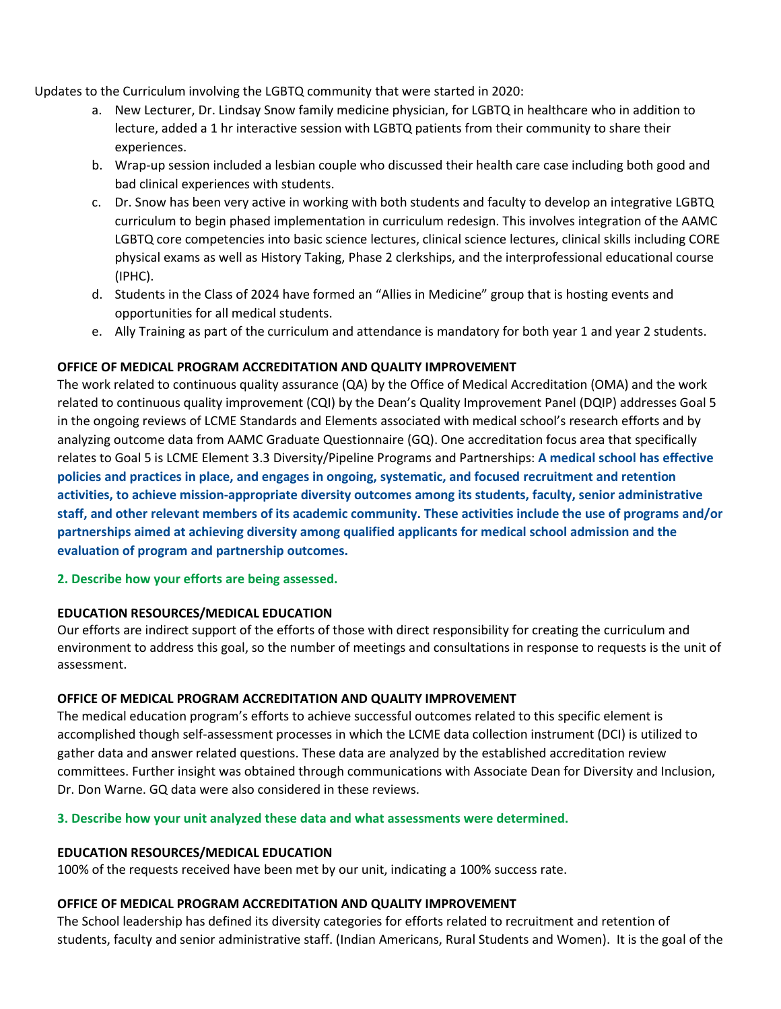Updates to the Curriculum involving the LGBTQ community that were started in 2020:

- a. New Lecturer, Dr. Lindsay Snow family medicine physician, for LGBTQ in healthcare who in addition to lecture, added a 1 hr interactive session with LGBTQ patients from their community to share their experiences.
- b. Wrap-up session included a lesbian couple who discussed their health care case including both good and bad clinical experiences with students.
- c. Dr. Snow has been very active in working with both students and faculty to develop an integrative LGBTQ curriculum to begin phased implementation in curriculum redesign. This involves integration of the AAMC LGBTQ core competencies into basic science lectures, clinical science lectures, clinical skills including CORE physical exams as well as History Taking, Phase 2 clerkships, and the interprofessional educational course (IPHC).
- d. Students in the Class of 2024 have formed an "Allies in Medicine" group that is hosting events and opportunities for all medical students.
- e. Ally Training as part of the curriculum and attendance is mandatory for both year 1 and year 2 students.

# **OFFICE OF MEDICAL PROGRAM ACCREDITATION AND QUALITY IMPROVEMENT**

The work related to continuous quality assurance (QA) by the Office of Medical Accreditation (OMA) and the work related to continuous quality improvement (CQI) by the Dean's Quality Improvement Panel (DQIP) addresses Goal 5 in the ongoing reviews of LCME Standards and Elements associated with medical school's research efforts and by analyzing outcome data from AAMC Graduate Questionnaire (GQ). One accreditation focus area that specifically relates to Goal 5 is LCME Element 3.3 Diversity/Pipeline Programs and Partnerships: **A medical school has effective policies and practices in place, and engages in ongoing, systematic, and focused recruitment and retention activities, to achieve mission-appropriate diversity outcomes among its students, faculty, senior administrative staff, and other relevant members of its academic community. These activities include the use of programs and/or partnerships aimed at achieving diversity among qualified applicants for medical school admission and the evaluation of program and partnership outcomes.** 

**2. Describe how your efforts are being assessed.** 

#### **EDUCATION RESOURCES/MEDICAL EDUCATION**

Our efforts are indirect support of the efforts of those with direct responsibility for creating the curriculum and environment to address this goal, so the number of meetings and consultations in response to requests is the unit of assessment.

#### **OFFICE OF MEDICAL PROGRAM ACCREDITATION AND QUALITY IMPROVEMENT**

The medical education program's efforts to achieve successful outcomes related to this specific element is accomplished though self-assessment processes in which the LCME data collection instrument (DCI) is utilized to gather data and answer related questions. These data are analyzed by the established accreditation review committees. Further insight was obtained through communications with Associate Dean for Diversity and Inclusion, Dr. Don Warne. GQ data were also considered in these reviews.

#### **3. Describe how your unit analyzed these data and what assessments were determined.**

#### **EDUCATION RESOURCES/MEDICAL EDUCATION**

100% of the requests received have been met by our unit, indicating a 100% success rate.

#### **OFFICE OF MEDICAL PROGRAM ACCREDITATION AND QUALITY IMPROVEMENT**

The School leadership has defined its diversity categories for efforts related to recruitment and retention of students, faculty and senior administrative staff. (Indian Americans, Rural Students and Women). It is the goal of the